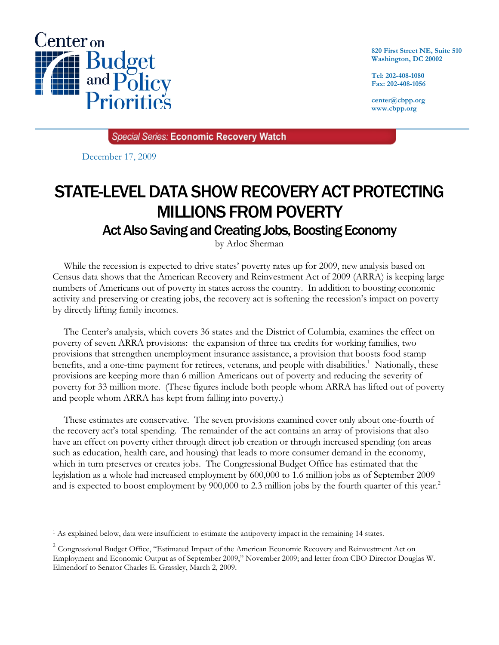

**820 First Street NE, Suite 510 Washington, DC 20002** 

**Tel: 202-408-1080 Fax: 202-408-1056** 

**center@cbpp.org www.cbpp.org** 

Special Series: Economic Recovery Watch

December 17, 2009

 $\overline{a}$ 

## STATE-LEVEL DATA SHOW RECOVERY ACT PROTECTING MILLIONS FROM POVERTY

## Act Also Saving and Creating Jobs, Boosting Economy

by Arloc Sherman

While the recession is expected to drive states' poverty rates up for 2009, new analysis based on Census data shows that the American Recovery and Reinvestment Act of 2009 (ARRA) is keeping large numbers of Americans out of poverty in states across the country. In addition to boosting economic activity and preserving or creating jobs, the recovery act is softening the recession's impact on poverty by directly lifting family incomes.

The Center's analysis, which covers 36 states and the District of Columbia, examines the effect on poverty of seven ARRA provisions: the expansion of three tax credits for working families, two provisions that strengthen unemployment insurance assistance, a provision that boosts food stamp benefits, and a one-time payment for retirees, veterans, and people with disabilities.<sup>1</sup> Nationally, these provisions are keeping more than 6 million Americans out of poverty and reducing the severity of poverty for 33 million more. (These figures include both people whom ARRA has lifted out of poverty and people whom ARRA has kept from falling into poverty.)

These estimates are conservative. The seven provisions examined cover only about one-fourth of the recovery act's total spending. The remainder of the act contains an array of provisions that also have an effect on poverty either through direct job creation or through increased spending (on areas such as education, health care, and housing) that leads to more consumer demand in the economy, which in turn preserves or creates jobs. The Congressional Budget Office has estimated that the legislation as a whole had increased employment by 600,000 to 1.6 million jobs as of September 2009 and is expected to boost employment by  $900,000$  to 2.3 million jobs by the fourth quarter of this year.<sup>2</sup>

<sup>1</sup> As explained below, data were insufficient to estimate the antipoverty impact in the remaining 14 states.

 $2^2$  Congressional Budget Office, "Estimated Impact of the American Economic Recovery and Reinvestment Act on Employment and Economic Output as of September 2009," November 2009; and letter from CBO Director Douglas W. Elmendorf to Senator Charles E. Grassley, March 2, 2009.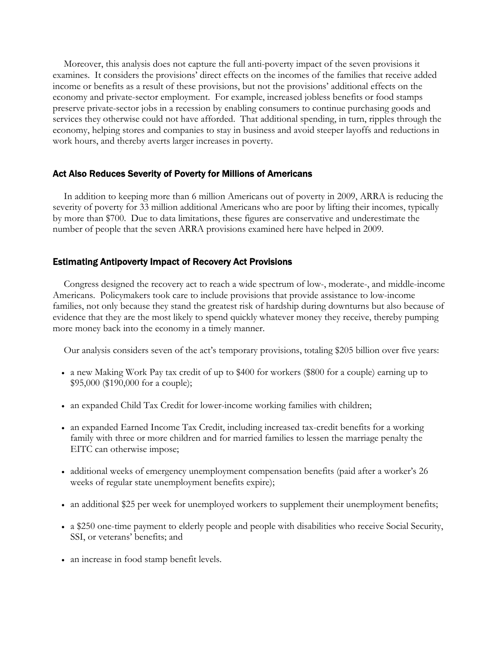Moreover, this analysis does not capture the full anti-poverty impact of the seven provisions it examines. It considers the provisions' direct effects on the incomes of the families that receive added income or benefits as a result of these provisions, but not the provisions' additional effects on the economy and private-sector employment. For example, increased jobless benefits or food stamps preserve private-sector jobs in a recession by enabling consumers to continue purchasing goods and services they otherwise could not have afforded. That additional spending, in turn, ripples through the economy, helping stores and companies to stay in business and avoid steeper layoffs and reductions in work hours, and thereby averts larger increases in poverty.

## Act Also Reduces Severity of Poverty for Millions of Americans

In addition to keeping more than 6 million Americans out of poverty in 2009, ARRA is reducing the severity of poverty for 33 million additional Americans who are poor by lifting their incomes, typically by more than \$700. Due to data limitations, these figures are conservative and underestimate the number of people that the seven ARRA provisions examined here have helped in 2009.

## Estimating Antipoverty Impact of Recovery Act Provisions

Congress designed the recovery act to reach a wide spectrum of low-, moderate-, and middle-income Americans. Policymakers took care to include provisions that provide assistance to low-income families, not only because they stand the greatest risk of hardship during downturns but also because of evidence that they are the most likely to spend quickly whatever money they receive, thereby pumping more money back into the economy in a timely manner.

Our analysis considers seven of the act's temporary provisions, totaling \$205 billion over five years:

- a new Making Work Pay tax credit of up to \$400 for workers (\$800 for a couple) earning up to \$95,000 (\$190,000 for a couple);
- an expanded Child Tax Credit for lower-income working families with children;
- an expanded Earned Income Tax Credit, including increased tax-credit benefits for a working family with three or more children and for married families to lessen the marriage penalty the EITC can otherwise impose;
- additional weeks of emergency unemployment compensation benefits (paid after a worker's 26 weeks of regular state unemployment benefits expire);
- an additional \$25 per week for unemployed workers to supplement their unemployment benefits;
- a \$250 one-time payment to elderly people and people with disabilities who receive Social Security, SSI, or veterans' benefits; and
- an increase in food stamp benefit levels.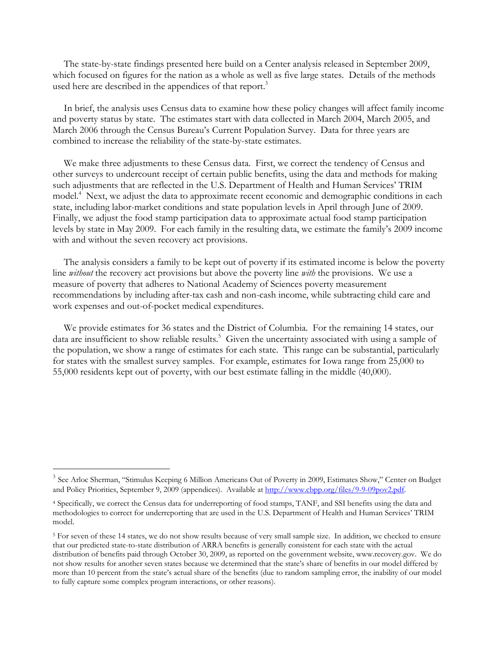The state-by-state findings presented here build on a Center analysis released in September 2009, which focused on figures for the nation as a whole as well as five large states. Details of the methods used here are described in the appendices of that report.<sup>3</sup>

In brief, the analysis uses Census data to examine how these policy changes will affect family income and poverty status by state. The estimates start with data collected in March 2004, March 2005, and March 2006 through the Census Bureau's Current Population Survey. Data for three years are combined to increase the reliability of the state-by-state estimates.

We make three adjustments to these Census data. First, we correct the tendency of Census and other surveys to undercount receipt of certain public benefits, using the data and methods for making such adjustments that are reflected in the U.S. Department of Health and Human Services' TRIM model.<sup>4</sup> Next, we adjust the data to approximate recent economic and demographic conditions in each state, including labor-market conditions and state population levels in April through June of 2009. Finally, we adjust the food stamp participation data to approximate actual food stamp participation levels by state in May 2009. For each family in the resulting data, we estimate the family's 2009 income with and without the seven recovery act provisions.

The analysis considers a family to be kept out of poverty if its estimated income is below the poverty line *without* the recovery act provisions but above the poverty line *with* the provisions. We use a measure of poverty that adheres to National Academy of Sciences poverty measurement recommendations by including after-tax cash and non-cash income, while subtracting child care and work expenses and out-of-pocket medical expenditures.

We provide estimates for 36 states and the District of Columbia. For the remaining 14 states, our data are insufficient to show reliable results.<sup>5</sup> Given the uncertainty associated with using a sample of the population, we show a range of estimates for each state. This range can be substantial, particularly for states with the smallest survey samples. For example, estimates for Iowa range from 25,000 to 55,000 residents kept out of poverty, with our best estimate falling in the middle (40,000).

 $\overline{a}$ 

<sup>&</sup>lt;sup>3</sup> See Arloc Sherman, "Stimulus Keeping 6 Million Americans Out of Poverty in 2009, Estimates Show," Center on Budget and Policy Priorities, September 9, 2009 (appendices). Available at http://www.cbpp.org/files/9-9-09pov2.pdf.

<sup>4</sup> Specifically, we correct the Census data for underreporting of food stamps, TANF, and SSI benefits using the data and methodologies to correct for underreporting that are used in the U.S. Department of Health and Human Services' TRIM model.

<sup>&</sup>lt;sup>5</sup> For seven of these 14 states, we do not show results because of very small sample size. In addition, we checked to ensure that our predicted state-to-state distribution of ARRA benefits is generally consistent for each state with the actual distribution of benefits paid through October 30, 2009, as reported on the government website, www.recovery.gov. We do not show results for another seven states because we determined that the state's share of benefits in our model differed by more than 10 percent from the state's actual share of the benefits (due to random sampling error, the inability of our model to fully capture some complex program interactions, or other reasons).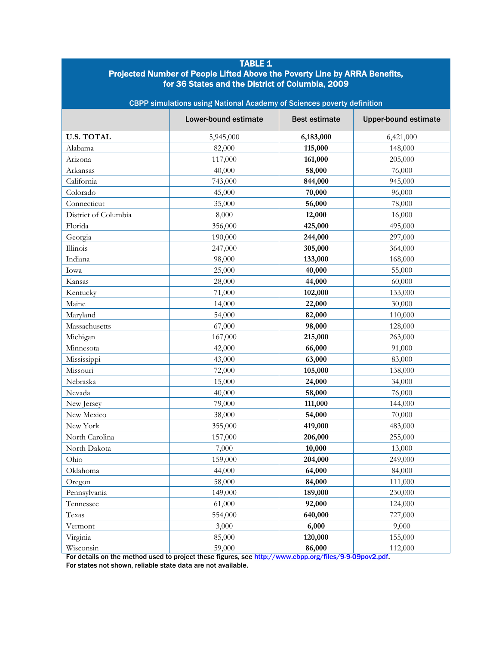| <b>TABLE 1</b><br>Projected Number of People Lifted Above the Poverty Line by ARRA Benefits,<br>for 36 States and the District of Columbia, 2009<br>CBPP simulations using National Academy of Sciences poverty definition |           |           |           |  |
|----------------------------------------------------------------------------------------------------------------------------------------------------------------------------------------------------------------------------|-----------|-----------|-----------|--|
|                                                                                                                                                                                                                            |           |           |           |  |
| <b>U.S. TOTAL</b>                                                                                                                                                                                                          | 5,945,000 | 6,183,000 | 6,421,000 |  |
| Alabama                                                                                                                                                                                                                    | 82,000    | 115,000   | 148,000   |  |
| Arizona                                                                                                                                                                                                                    | 117,000   | 161,000   | 205,000   |  |
| Arkansas                                                                                                                                                                                                                   | 40,000    | 58,000    | 76,000    |  |
| California                                                                                                                                                                                                                 | 743,000   | 844,000   | 945,000   |  |
| Colorado                                                                                                                                                                                                                   | 45,000    | 70,000    | 96,000    |  |
| Connecticut                                                                                                                                                                                                                | 35,000    | 56,000    | 78,000    |  |
| District of Columbia                                                                                                                                                                                                       | 8,000     | 12,000    | 16,000    |  |
| Florida                                                                                                                                                                                                                    | 356,000   | 425,000   | 495,000   |  |
| Georgia                                                                                                                                                                                                                    | 190,000   | 244,000   | 297,000   |  |
| Illinois                                                                                                                                                                                                                   | 247,000   | 305,000   | 364,000   |  |
| Indiana                                                                                                                                                                                                                    | 98,000    | 133,000   | 168,000   |  |
| Iowa                                                                                                                                                                                                                       | 25,000    | 40,000    | 55,000    |  |
| Kansas                                                                                                                                                                                                                     | 28,000    | 44,000    | 60,000    |  |
| Kentucky                                                                                                                                                                                                                   | 71,000    | 102,000   | 133,000   |  |
| Maine                                                                                                                                                                                                                      | 14,000    | 22,000    | 30,000    |  |
| Maryland                                                                                                                                                                                                                   | 54,000    | 82,000    | 110,000   |  |
| Massachusetts                                                                                                                                                                                                              | 67,000    | 98,000    | 128,000   |  |
| Michigan                                                                                                                                                                                                                   | 167,000   | 215,000   | 263,000   |  |
| Minnesota                                                                                                                                                                                                                  | 42,000    | 66,000    | 91,000    |  |
| Mississippi                                                                                                                                                                                                                | 43,000    | 63,000    | 83,000    |  |
| Missouri                                                                                                                                                                                                                   | 72,000    | 105,000   | 138,000   |  |
| Nebraska                                                                                                                                                                                                                   | 15,000    | 24,000    | 34,000    |  |
| Nevada                                                                                                                                                                                                                     | 40,000    | 58,000    | 76,000    |  |
| New Jersey                                                                                                                                                                                                                 | 79,000    | 111,000   | 144,000   |  |
| New Mexico                                                                                                                                                                                                                 | 38,000    | 54,000    | 70,000    |  |
| New York                                                                                                                                                                                                                   | 355,000   | 419,000   | 483,000   |  |
| North Carolina                                                                                                                                                                                                             | 157,000   | 206,000   | 255,000   |  |
| North Dakota                                                                                                                                                                                                               | 7,000     | 10,000    | 13,000    |  |
| Ohio                                                                                                                                                                                                                       | 159,000   | 204,000   | 249,000   |  |
| Oklahoma                                                                                                                                                                                                                   | 44,000    | 64,000    | 84,000    |  |
| Oregon                                                                                                                                                                                                                     | 58,000    | 84,000    | 111,000   |  |
| Pennsylvania                                                                                                                                                                                                               | 149,000   | 189,000   | 230,000   |  |
| Tennessee                                                                                                                                                                                                                  | 61,000    | 92,000    | 124,000   |  |
| Texas                                                                                                                                                                                                                      | 554,000   | 640,000   | 727,000   |  |
| Vermont                                                                                                                                                                                                                    | 3,000     | 6,000     | 9,000     |  |
| Virginia                                                                                                                                                                                                                   | 85,000    | 120,000   | 155,000   |  |
| Wisconsin                                                                                                                                                                                                                  | 59,000    | 86,000    | 112,000   |  |

For details on the method used to project these figures, see http://www.cbpp.org/files/9-9-09pov2.pdf. For states not shown, reliable state data are not available.